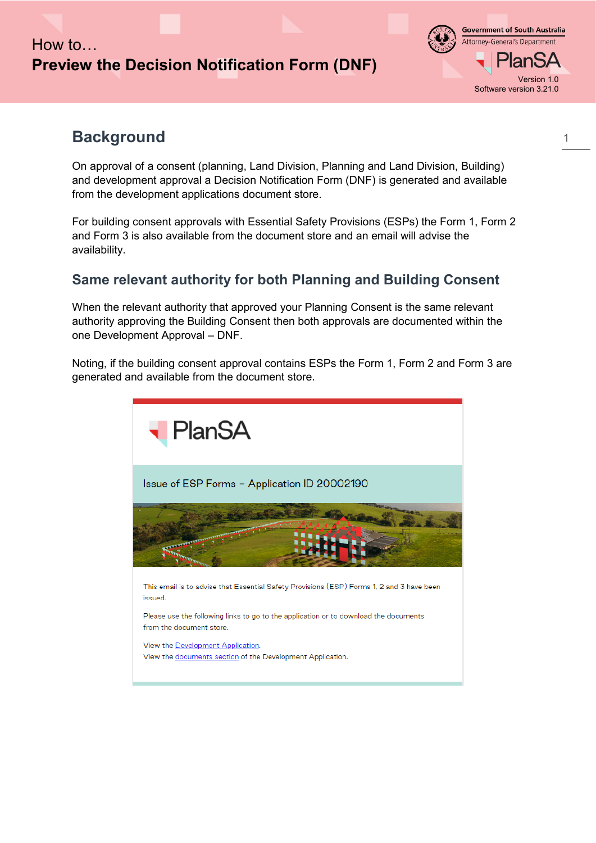## How to… **Preview the Decision Notification Form (DNF)**

**Government of South Australia** Attorney-General's Department an: Version 1.0 Software version 3.21.0

## **Background**

On approval of a consent (planning, Land Division, Planning and Land Division, Building) and development approval a Decision Notification Form (DNF) is generated and available from the development applications document store.

For building consent approvals with Essential Safety Provisions (ESPs) the Form 1, Form 2 and Form 3 is also available from the document store and an email will advise the availability.

#### <span id="page-0-0"></span>**Same relevant authority for both Planning and Building Consent**

When the relevant authority that approved your Planning Consent is the same relevant authority approving the Building Consent then both approvals are documented within the one Development Approval – DNF.

Noting, if the building consent approval contains ESPs the Form 1, Form 2 and Form 3 are generated and available from the document store.

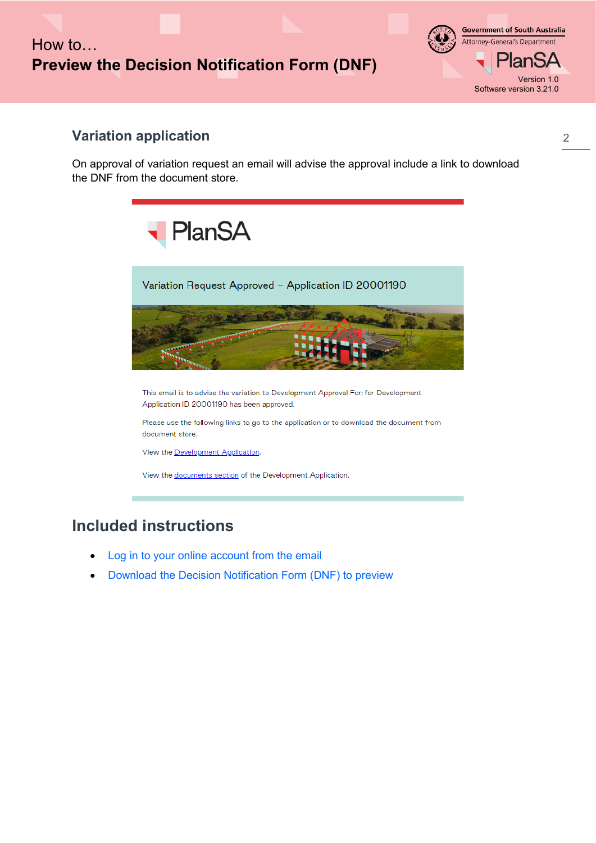# How to… **Preview the Decision Notification Form (DNF)**

**Government of South Australia** Attorney-General's Department lanSA Version 1.0 Software version 3.21.0

#### **Variation application**

On approval of variation request an email will advise the approval include a link to download the DNF from the document store.



## **Included instructions**

- [Log in to your online account from the email](#page-2-0)
- [Download the Decision Notification Form \(DNF\) to preview](#page-4-0)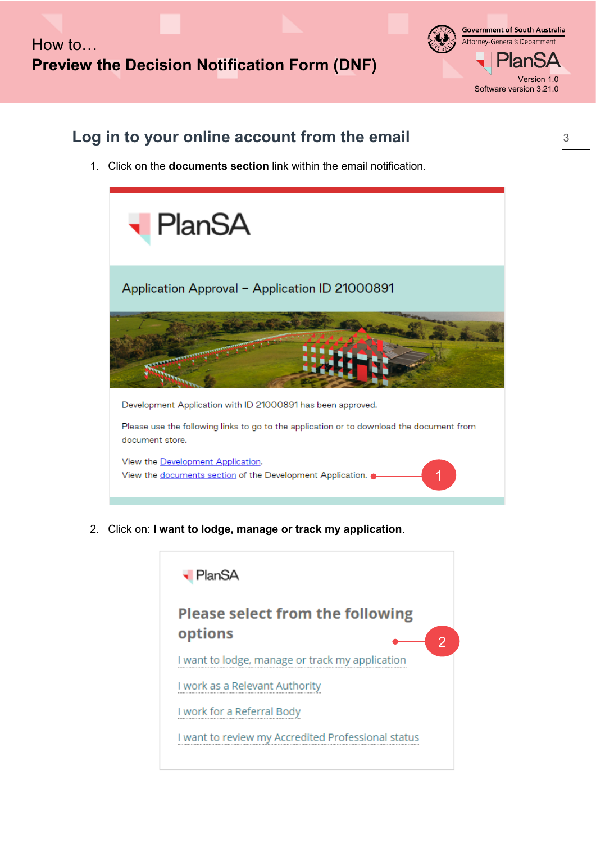**Government of South Australia** Attorney-General's Department PlanSA Version 1.0 Software version 3.21.0

## <span id="page-2-0"></span>**Log in to your online account from the email**

1. Click on the **documents section** link within the email notification.



2. Click on: **I want to lodge, manage or track my application**.

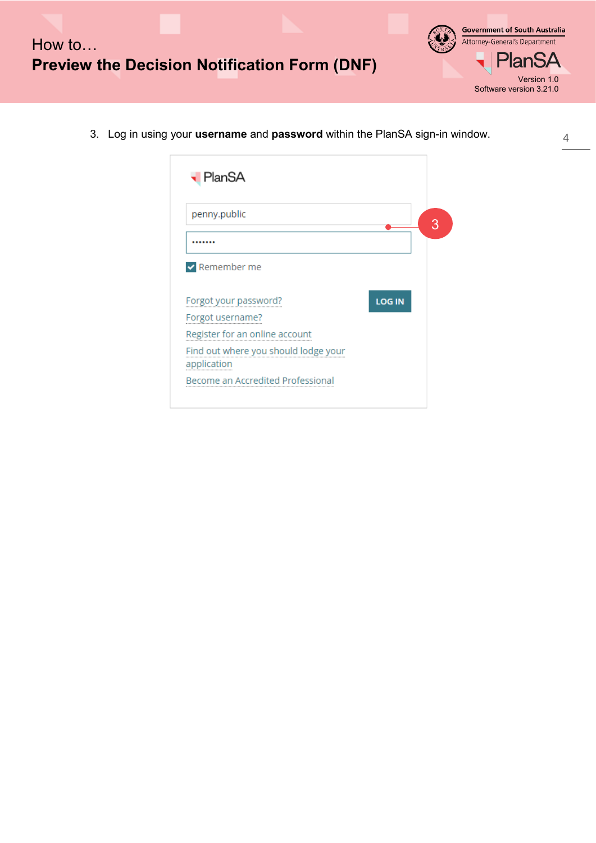

**Government of South Australia** Attorney-General's Department **PlanSA** Version 1.0 Software version 3.21.0

3. Log in using your **username** and **password** within the PlanSA sign-in window.

| penny.public                                        |               |  |
|-----------------------------------------------------|---------------|--|
|                                                     |               |  |
| $\triangleright$ Remember me                        |               |  |
|                                                     |               |  |
| Forgot your password?                               | <b>LOG IN</b> |  |
| Forgot username?                                    |               |  |
| Register for an online account                      |               |  |
| Find out where you should lodge your<br>application |               |  |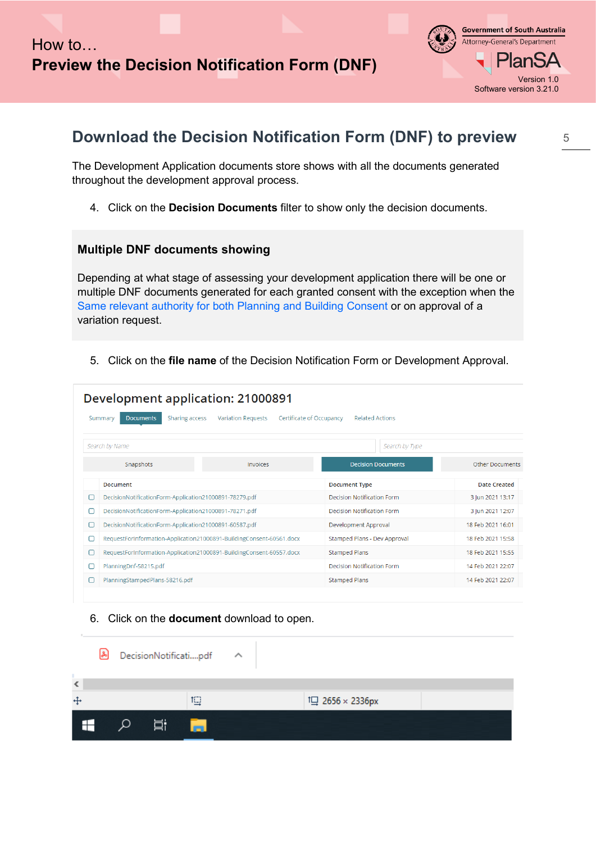

#### <span id="page-4-0"></span>**Download the Decision Notification Form (DNF) to preview**

The Development Application documents store shows with all the documents generated throughout the development approval process.

4. Click on the **Decision Documents** filter to show only the decision documents.

#### **Multiple DNF documents showing**

Depending at what stage of assessing your development application there will be one or multiple DNF documents generated for each granted consent with the exception when the [Same relevant authority for both Planning and Building Consent o](#page-0-0)r on approval of a variation request.

5. Click on the **file name** of the Decision Notification Form or Development Approval.

| Development application: 21000891 |                                                                                                                                         |                                                                      |                                   |                        |  |  |  |  |  |  |  |
|-----------------------------------|-----------------------------------------------------------------------------------------------------------------------------------------|----------------------------------------------------------------------|-----------------------------------|------------------------|--|--|--|--|--|--|--|
|                                   | <b>Sharing access</b><br><b>Variation Requests</b><br>Certificate of Occupancy<br><b>Related Actions</b><br>Summary<br><b>Documents</b> |                                                                      |                                   |                        |  |  |  |  |  |  |  |
|                                   | Search by Name                                                                                                                          |                                                                      | Search by Type                    |                        |  |  |  |  |  |  |  |
|                                   | Snapshots                                                                                                                               | Invoices                                                             | <b>Decision Documents</b>         | <b>Other Documents</b> |  |  |  |  |  |  |  |
|                                   | <b>Document</b>                                                                                                                         |                                                                      | <b>Document Type</b>              | <b>Date Created</b>    |  |  |  |  |  |  |  |
| П                                 | DecisionNotificationForm-Application21000891-78279.pdf                                                                                  |                                                                      | Decision Notification Form        | 3 Jun 2021 13:17       |  |  |  |  |  |  |  |
|                                   | DecisionNotificationForm-Application21000891-78271.pdf                                                                                  |                                                                      | <b>Decision Notification Form</b> | 3 Jun 2021 12:07       |  |  |  |  |  |  |  |
| ⊓                                 | DecisionNotificationForm-Application21000891-60587.pdf                                                                                  |                                                                      | Development Approval              | 18 Feb 2021 16:01      |  |  |  |  |  |  |  |
| ∩                                 |                                                                                                                                         | RequestForInformation-Application21000891-BuildingConsent-60561.docx | Stamped Plans - Dev Approval      | 18 Feb 2021 15:58      |  |  |  |  |  |  |  |
| п                                 |                                                                                                                                         | RequestForInformation-Application21000891-BuildingConsent-60557.docx | <b>Stamped Plans</b>              | 18 Feb 2021 15:55      |  |  |  |  |  |  |  |
| ⊓                                 | PlanningDnf-58215.pdf                                                                                                                   |                                                                      | <b>Decision Notification Form</b> | 14 Feb 2021 22:07      |  |  |  |  |  |  |  |
|                                   | PlanningStampedPlans-58216.pdf                                                                                                          |                                                                      | <b>Stamped Plans</b>              | 14 Feb 2021 22:07      |  |  |  |  |  |  |  |

#### 6. Click on the **document** download to open.

|     | [2] |       | DecisionNotificatipdf ^ |  |                  |  |  |
|-----|-----|-------|-------------------------|--|------------------|--|--|
| ∢   |     |       |                         |  |                  |  |  |
| $+$ |     |       | 坦                       |  | IQ 2656 × 2336px |  |  |
| H   |     | 一 二 八 | <b>Contract</b>         |  |                  |  |  |